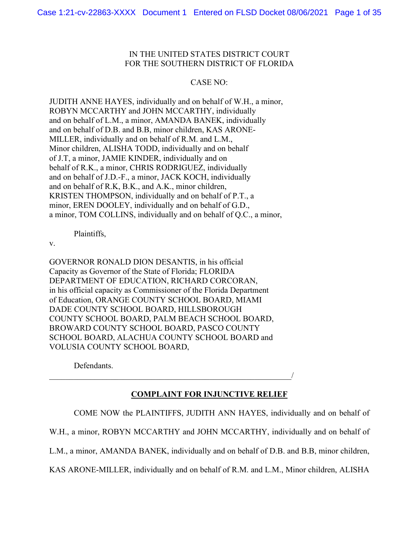# IN THE UNITED STATES DISTRICT COURT FOR THE SOUTHERN DISTRICT OF FLORIDA

# CASE NO:

JUDITH ANNE HAYES, individually and on behalf of W.H., a minor, ROBYN MCCARTHY and JOHN MCCARTHY, individually and on behalf of L.M., a minor, AMANDA BANEK, individually and on behalf of D.B. and B.B, minor children, KAS ARONE-MILLER, individually and on behalf of R.M. and L.M., Minor children, ALISHA TODD, individually and on behalf of J.T, a minor, JAMIE KINDER, individually and on behalf of R.K., a minor, CHRIS RODRIGUEZ, individually and on behalf of J.D.-F., a minor, JACK KOCH, individually and on behalf of R.K, B.K., and A.K., minor children, KRISTEN THOMPSON, individually and on behalf of P.T., a minor, EREN DOOLEY, individually and on behalf of G.D., a minor, TOM COLLINS, individually and on behalf of Q.C., a minor,

Plaintiffs,

v.

GOVERNOR RONALD DION DESANTIS, in his official Capacity as Governor of the State of Florida; FLORIDA DEPARTMENT OF EDUCATION, RICHARD CORCORAN, in his official capacity as Commissioner of the Florida Department of Education, ORANGE COUNTY SCHOOL BOARD, MIAMI DADE COUNTY SCHOOL BOARD, HILLSBOROUGH COUNTY SCHOOL BOARD, PALM BEACH SCHOOL BOARD, BROWARD COUNTY SCHOOL BOARD, PASCO COUNTY SCHOOL BOARD, ALACHUA COUNTY SCHOOL BOARD and VOLUSIA COUNTY SCHOOL BOARD,

Defendants.

 $\overline{\phantom{a}}$ 

# **COMPLAINT FOR INJUNCTIVE RELIEF**

COME NOW the PLAINTIFFS, JUDITH ANN HAYES, individually and on behalf of

W.H., a minor, ROBYN MCCARTHY and JOHN MCCARTHY, individually and on behalf of

L.M., a minor, AMANDA BANEK, individually and on behalf of D.B. and B.B, minor children,

KAS ARONE-MILLER, individually and on behalf of R.M. and L.M., Minor children, ALISHA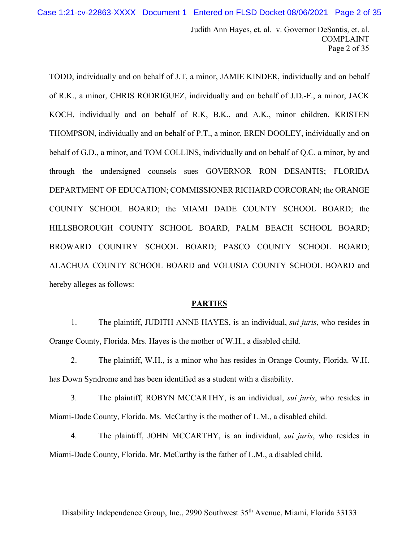Judith Ann Hayes, et. al. v. Governor DeSantis, et. al. COMPLAINT Page 2 of 35

 $\mathcal{L}_\mathcal{L}$  , which is a set of the set of the set of the set of the set of the set of the set of the set of the set of the set of the set of the set of the set of the set of the set of the set of the set of the set of

TODD, individually and on behalf of J.T, a minor, JAMIE KINDER, individually and on behalf of R.K., a minor, CHRIS RODRIGUEZ, individually and on behalf of J.D.-F., a minor, JACK KOCH, individually and on behalf of R.K, B.K., and A.K., minor children, KRISTEN THOMPSON, individually and on behalf of P.T., a minor, EREN DOOLEY, individually and on behalf of G.D., a minor, and TOM COLLINS, individually and on behalf of Q.C. a minor, by and through the undersigned counsels sues GOVERNOR RON DESANTIS; FLORIDA DEPARTMENT OF EDUCATION; COMMISSIONER RICHARD CORCORAN; the ORANGE COUNTY SCHOOL BOARD; the MIAMI DADE COUNTY SCHOOL BOARD; the HILLSBOROUGH COUNTY SCHOOL BOARD, PALM BEACH SCHOOL BOARD; BROWARD COUNTRY SCHOOL BOARD; PASCO COUNTY SCHOOL BOARD; ALACHUA COUNTY SCHOOL BOARD and VOLUSIA COUNTY SCHOOL BOARD and hereby alleges as follows:

#### **PARTIES**

1. The plaintiff, JUDITH ANNE HAYES, is an individual, *sui juris*, who resides in Orange County, Florida. Mrs. Hayes is the mother of W.H., a disabled child.

2. The plaintiff, W.H., is a minor who has resides in Orange County, Florida. W.H. has Down Syndrome and has been identified as a student with a disability.

3. The plaintiff, ROBYN MCCARTHY, is an individual, *sui juris*, who resides in Miami-Dade County, Florida. Ms. McCarthy is the mother of L.M., a disabled child.

4. The plaintiff, JOHN MCCARTHY, is an individual, *sui juris*, who resides in Miami-Dade County, Florida. Mr. McCarthy is the father of L.M., a disabled child.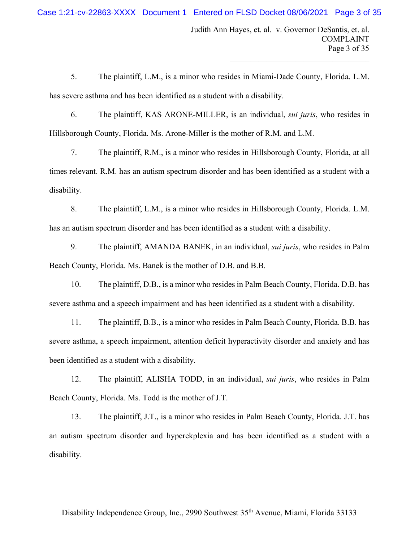$\mathcal{L}_\mathcal{L}$  , which is a set of the set of the set of the set of the set of the set of the set of the set of the set of the set of the set of the set of the set of the set of the set of the set of the set of the set of

5. The plaintiff, L.M., is a minor who resides in Miami-Dade County, Florida. L.M. has severe asthma and has been identified as a student with a disability.

6. The plaintiff, KAS ARONE-MILLER, is an individual, *sui juris*, who resides in Hillsborough County, Florida. Ms. Arone-Miller is the mother of R.M. and L.M.

7. The plaintiff, R.M., is a minor who resides in Hillsborough County, Florida, at all times relevant. R.M. has an autism spectrum disorder and has been identified as a student with a disability.

8. The plaintiff, L.M., is a minor who resides in Hillsborough County, Florida. L.M. has an autism spectrum disorder and has been identified as a student with a disability.

9. The plaintiff, AMANDA BANEK, in an individual, *sui juris*, who resides in Palm Beach County, Florida. Ms. Banek is the mother of D.B. and B.B.

10. The plaintiff, D.B., is a minor who resides in Palm Beach County, Florida. D.B. has severe asthma and a speech impairment and has been identified as a student with a disability.

11. The plaintiff, B.B., is a minor who resides in Palm Beach County, Florida. B.B. has severe asthma, a speech impairment, attention deficit hyperactivity disorder and anxiety and has been identified as a student with a disability.

12. The plaintiff, ALISHA TODD, in an individual, *sui juris*, who resides in Palm Beach County, Florida. Ms. Todd is the mother of J.T.

13. The plaintiff, J.T., is a minor who resides in Palm Beach County, Florida. J.T. has an autism spectrum disorder and hyperekplexia and has been identified as a student with a disability.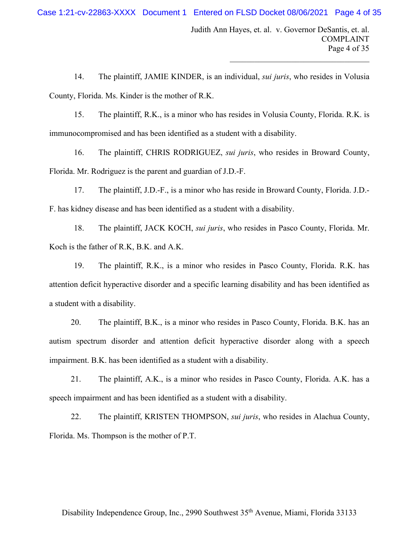Judith Ann Hayes, et. al. v. Governor DeSantis, et. al. COMPLAINT Page 4 of 35

 $\mathcal{L}_\mathcal{L}$  , which is a set of the set of the set of the set of the set of the set of the set of the set of the set of the set of the set of the set of the set of the set of the set of the set of the set of the set of

14. The plaintiff, JAMIE KINDER, is an individual, *sui juris*, who resides in Volusia County, Florida. Ms. Kinder is the mother of R.K.

15. The plaintiff, R.K., is a minor who has resides in Volusia County, Florida. R.K. is immunocompromised and has been identified as a student with a disability.

16. The plaintiff, CHRIS RODRIGUEZ, *sui juris*, who resides in Broward County, Florida. Mr. Rodriguez is the parent and guardian of J.D.-F.

17. The plaintiff, J.D.-F., is a minor who has reside in Broward County, Florida. J.D.- F. has kidney disease and has been identified as a student with a disability.

18. The plaintiff, JACK KOCH, *sui juris*, who resides in Pasco County, Florida. Mr. Koch is the father of R.K, B.K. and A.K.

19. The plaintiff, R.K., is a minor who resides in Pasco County, Florida. R.K. has attention deficit hyperactive disorder and a specific learning disability and has been identified as a student with a disability.

20. The plaintiff, B.K., is a minor who resides in Pasco County, Florida. B.K. has an autism spectrum disorder and attention deficit hyperactive disorder along with a speech impairment. B.K. has been identified as a student with a disability.

21. The plaintiff, A.K., is a minor who resides in Pasco County, Florida. A.K. has a speech impairment and has been identified as a student with a disability.

22. The plaintiff, KRISTEN THOMPSON, *sui juris*, who resides in Alachua County, Florida. Ms. Thompson is the mother of P.T.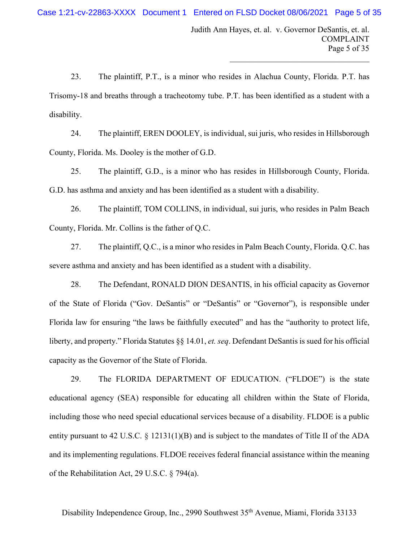Judith Ann Hayes, et. al. v. Governor DeSantis, et. al. COMPLAINT Page 5 of 35

 $\mathcal{L}_\mathcal{L}$  , which is a set of the set of the set of the set of the set of the set of the set of the set of the set of the set of the set of the set of the set of the set of the set of the set of the set of the set of

23. The plaintiff, P.T., is a minor who resides in Alachua County, Florida. P.T. has Trisomy-18 and breaths through a tracheotomy tube. P.T. has been identified as a student with a disability.

24. The plaintiff, EREN DOOLEY, is individual, sui juris, who resides in Hillsborough County, Florida. Ms. Dooley is the mother of G.D.

25. The plaintiff, G.D., is a minor who has resides in Hillsborough County, Florida. G.D. has asthma and anxiety and has been identified as a student with a disability.

26. The plaintiff, TOM COLLINS, in individual, sui juris, who resides in Palm Beach County, Florida. Mr. Collins is the father of Q.C.

27. The plaintiff, Q.C., is a minor who resides in Palm Beach County, Florida. Q.C. has severe asthma and anxiety and has been identified as a student with a disability.

28. The Defendant, RONALD DION DESANTIS, in his official capacity as Governor of the State of Florida ("Gov. DeSantis" or "DeSantis" or "Governor"), is responsible under Florida law for ensuring "the laws be faithfully executed" and has the "authority to protect life, liberty, and property." Florida Statutes §§ 14.01, *et. seq*. Defendant DeSantis is sued for his official capacity as the Governor of the State of Florida.

29. The FLORIDA DEPARTMENT OF EDUCATION. ("FLDOE") is the state educational agency (SEA) responsible for educating all children within the State of Florida, including those who need special educational services because of a disability. FLDOE is a public entity pursuant to 42 U.S.C. § 12131(1)(B) and is subject to the mandates of Title II of the ADA and its implementing regulations. FLDOE receives federal financial assistance within the meaning of the Rehabilitation Act, 29 U.S.C. § 794(a).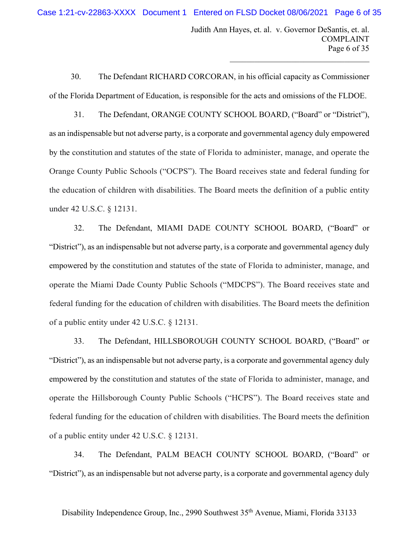Judith Ann Hayes, et. al. v. Governor DeSantis, et. al. COMPLAINT Page 6 of 35

 $\mathcal{L}_\mathcal{L}$  , which is a set of the set of the set of the set of the set of the set of the set of the set of the set of the set of the set of the set of the set of the set of the set of the set of the set of the set of

30. The Defendant RICHARD CORCORAN, in his official capacity as Commissioner of the Florida Department of Education, is responsible for the acts and omissions of the FLDOE.

31. The Defendant, ORANGE COUNTY SCHOOL BOARD, ("Board" or "District"), as an indispensable but not adverse party, is a corporate and governmental agency duly empowered by the constitution and statutes of the state of Florida to administer, manage, and operate the Orange County Public Schools ("OCPS"). The Board receives state and federal funding for the education of children with disabilities. The Board meets the definition of a public entity under 42 U.S.C. § 12131.

32. The Defendant, MIAMI DADE COUNTY SCHOOL BOARD, ("Board" or "District"), as an indispensable but not adverse party, is a corporate and governmental agency duly empowered by the constitution and statutes of the state of Florida to administer, manage, and operate the Miami Dade County Public Schools ("MDCPS"). The Board receives state and federal funding for the education of children with disabilities. The Board meets the definition of a public entity under 42 U.S.C. § 12131.

33. The Defendant, HILLSBOROUGH COUNTY SCHOOL BOARD, ("Board" or "District"), as an indispensable but not adverse party, is a corporate and governmental agency duly empowered by the constitution and statutes of the state of Florida to administer, manage, and operate the Hillsborough County Public Schools ("HCPS"). The Board receives state and federal funding for the education of children with disabilities. The Board meets the definition of a public entity under 42 U.S.C. § 12131.

34. The Defendant, PALM BEACH COUNTY SCHOOL BOARD, ("Board" or "District"), as an indispensable but not adverse party, is a corporate and governmental agency duly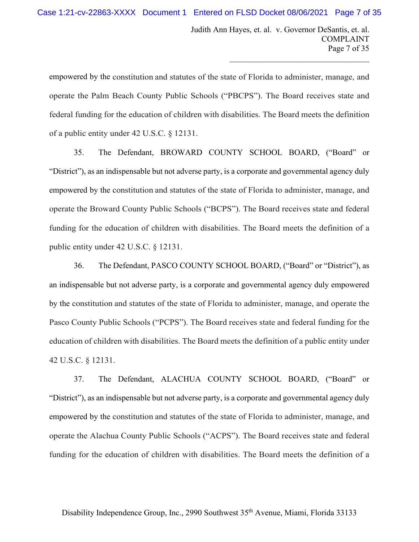Judith Ann Hayes, et. al. v. Governor DeSantis, et. al. COMPLAINT Page 7 of 35

 $\mathcal{L}_\mathcal{L}$  , which is a set of the set of the set of the set of the set of the set of the set of the set of the set of the set of the set of the set of the set of the set of the set of the set of the set of the set of

empowered by the constitution and statutes of the state of Florida to administer, manage, and operate the Palm Beach County Public Schools ("PBCPS"). The Board receives state and federal funding for the education of children with disabilities. The Board meets the definition of a public entity under 42 U.S.C. § 12131.

35. The Defendant, BROWARD COUNTY SCHOOL BOARD, ("Board" or "District"), as an indispensable but not adverse party, is a corporate and governmental agency duly empowered by the constitution and statutes of the state of Florida to administer, manage, and operate the Broward County Public Schools ("BCPS"). The Board receives state and federal funding for the education of children with disabilities. The Board meets the definition of a public entity under 42 U.S.C. § 12131.

36. The Defendant, PASCO COUNTY SCHOOL BOARD, ("Board" or "District"), as an indispensable but not adverse party, is a corporate and governmental agency duly empowered by the constitution and statutes of the state of Florida to administer, manage, and operate the Pasco County Public Schools ("PCPS"). The Board receives state and federal funding for the education of children with disabilities. The Board meets the definition of a public entity under 42 U.S.C. § 12131.

37. The Defendant, ALACHUA COUNTY SCHOOL BOARD, ("Board" or "District"), as an indispensable but not adverse party, is a corporate and governmental agency duly empowered by the constitution and statutes of the state of Florida to administer, manage, and operate the Alachua County Public Schools ("ACPS"). The Board receives state and federal funding for the education of children with disabilities. The Board meets the definition of a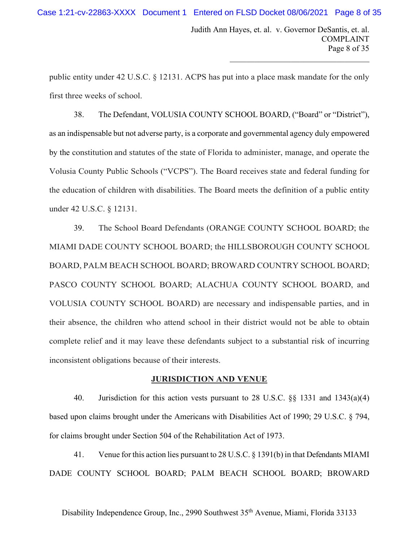$\mathcal{L}_\mathcal{L}$  , which is a set of the set of the set of the set of the set of the set of the set of the set of the set of the set of the set of the set of the set of the set of the set of the set of the set of the set of

public entity under 42 U.S.C. § 12131. ACPS has put into a place mask mandate for the only first three weeks of school.

38. The Defendant, VOLUSIA COUNTY SCHOOL BOARD, ("Board" or "District"), as an indispensable but not adverse party, is a corporate and governmental agency duly empowered by the constitution and statutes of the state of Florida to administer, manage, and operate the Volusia County Public Schools ("VCPS"). The Board receives state and federal funding for the education of children with disabilities. The Board meets the definition of a public entity under 42 U.S.C. § 12131.

39. The School Board Defendants (ORANGE COUNTY SCHOOL BOARD; the MIAMI DADE COUNTY SCHOOL BOARD; the HILLSBOROUGH COUNTY SCHOOL BOARD, PALM BEACH SCHOOL BOARD; BROWARD COUNTRY SCHOOL BOARD; PASCO COUNTY SCHOOL BOARD; ALACHUA COUNTY SCHOOL BOARD, and VOLUSIA COUNTY SCHOOL BOARD) are necessary and indispensable parties, and in their absence, the children who attend school in their district would not be able to obtain complete relief and it may leave these defendants subject to a substantial risk of incurring inconsistent obligations because of their interests.

#### **JURISDICTION AND VENUE**

40. Jurisdiction for this action vests pursuant to 28 U.S.C. §§ 1331 and 1343(a)(4) based upon claims brought under the Americans with Disabilities Act of 1990; 29 U.S.C. § 794, for claims brought under Section 504 of the Rehabilitation Act of 1973.

41. Venue for this action lies pursuant to 28 U.S.C. § 1391(b) in that Defendants MIAMI DADE COUNTY SCHOOL BOARD; PALM BEACH SCHOOL BOARD; BROWARD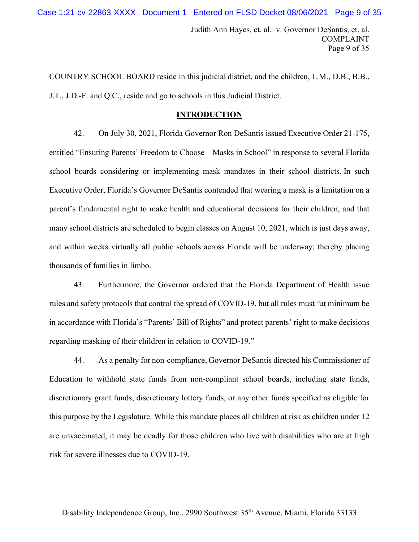$\mathcal{L}_\mathcal{L}$  , which is a set of the set of the set of the set of the set of the set of the set of the set of the set of the set of the set of the set of the set of the set of the set of the set of the set of the set of

COUNTRY SCHOOL BOARD reside in this judicial district, and the children, L.M., D.B., B.B., J.T., J.D.-F. and Q.C., reside and go to schools in this Judicial District.

## **INTRODUCTION**

42. On July 30, 2021, Florida Governor Ron DeSantis issued Executive Order 21-175, entitled "Ensuring Parents' Freedom to Choose – Masks in School" in response to several Florida school boards considering or implementing mask mandates in their school districts. In such Executive Order, Florida's Governor DeSantis contended that wearing a mask is a limitation on a parent's fundamental right to make health and educational decisions for their children, and that many school districts are scheduled to begin classes on August 10, 2021, which is just days away, and within weeks virtually all public schools across Florida will be underway; thereby placing thousands of families in limbo.

43. Furthermore, the Governor ordered that the Florida Department of Health issue rules and safety protocols that control the spread of COVID-19, but all rules must "at minimum be in accordance with Florida's "Parents' Bill of Rights" and protect parents' right to make decisions regarding masking of their children in relation to COVID-19."

44. As a penalty for non-compliance, Governor DeSantis directed his Commissioner of Education to withhold state funds from non-compliant school boards, including state funds, discretionary grant funds, discretionary lottery funds, or any other funds specified as eligible for this purpose by the Legislature. While this mandate places all children at risk as children under 12 are unvaccinated, it may be deadly for those children who live with disabilities who are at high risk for severe illnesses due to COVID-19.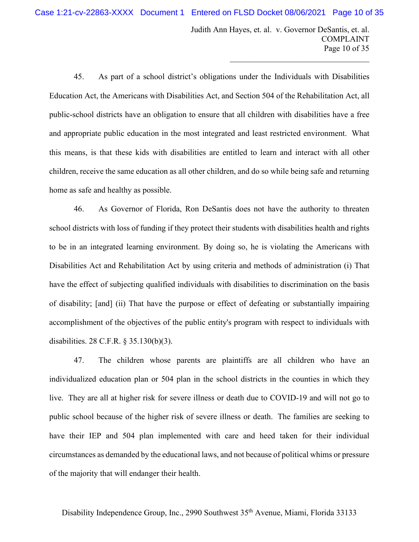Judith Ann Hayes, et. al. v. Governor DeSantis, et. al. COMPLAINT Page 10 of 35

 $\mathcal{L}_\mathcal{L}$  , which is a set of the set of the set of the set of the set of the set of the set of the set of the set of the set of the set of the set of the set of the set of the set of the set of the set of the set of

45. As part of a school district's obligations under the Individuals with Disabilities Education Act, the Americans with Disabilities Act, and Section 504 of the Rehabilitation Act, all public-school districts have an obligation to ensure that all children with disabilities have a free and appropriate public education in the most integrated and least restricted environment. What this means, is that these kids with disabilities are entitled to learn and interact with all other children, receive the same education as all other children, and do so while being safe and returning home as safe and healthy as possible.

46. As Governor of Florida, Ron DeSantis does not have the authority to threaten school districts with loss of funding if they protect their students with disabilities health and rights to be in an integrated learning environment. By doing so, he is violating the Americans with Disabilities Act and Rehabilitation Act by using criteria and methods of administration (i) That have the effect of subjecting qualified individuals with disabilities to discrimination on the basis of disability; [and] (ii) That have the purpose or effect of defeating or substantially impairing accomplishment of the objectives of the public entity's program with respect to individuals with disabilities. 28 C.F.R. § 35.130(b)(3).

47. The children whose parents are plaintiffs are all children who have an individualized education plan or 504 plan in the school districts in the counties in which they live. They are all at higher risk for severe illness or death due to COVID-19 and will not go to public school because of the higher risk of severe illness or death. The families are seeking to have their IEP and 504 plan implemented with care and heed taken for their individual circumstances as demanded by the educational laws, and not because of political whims or pressure of the majority that will endanger their health.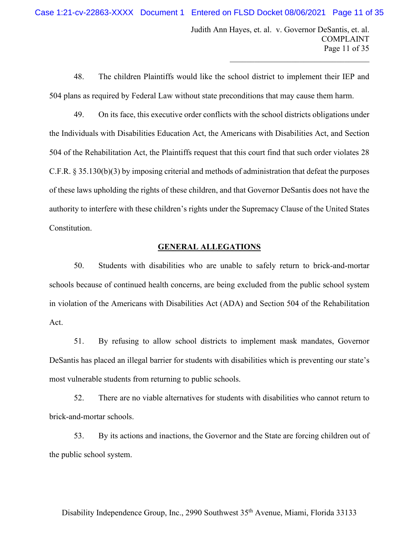Judith Ann Hayes, et. al. v. Governor DeSantis, et. al. COMPLAINT Page 11 of 35

 $\mathcal{L}_\mathcal{L}$  , which is a set of the set of the set of the set of the set of the set of the set of the set of the set of the set of the set of the set of the set of the set of the set of the set of the set of the set of

48. The children Plaintiffs would like the school district to implement their IEP and 504 plans as required by Federal Law without state preconditions that may cause them harm.

49. On its face, this executive order conflicts with the school districts obligations under the Individuals with Disabilities Education Act, the Americans with Disabilities Act, and Section 504 of the Rehabilitation Act, the Plaintiffs request that this court find that such order violates 28 C.F.R. § 35.130(b)(3) by imposing criterial and methods of administration that defeat the purposes of these laws upholding the rights of these children, and that Governor DeSantis does not have the authority to interfere with these children's rights under the Supremacy Clause of the United States Constitution.

# **GENERAL ALLEGATIONS**

50. Students with disabilities who are unable to safely return to brick-and-mortar schools because of continued health concerns, are being excluded from the public school system in violation of the Americans with Disabilities Act (ADA) and Section 504 of the Rehabilitation Act.

51. By refusing to allow school districts to implement mask mandates, Governor DeSantis has placed an illegal barrier for students with disabilities which is preventing our state's most vulnerable students from returning to public schools.

52. There are no viable alternatives for students with disabilities who cannot return to brick-and-mortar schools.

53. By its actions and inactions, the Governor and the State are forcing children out of the public school system.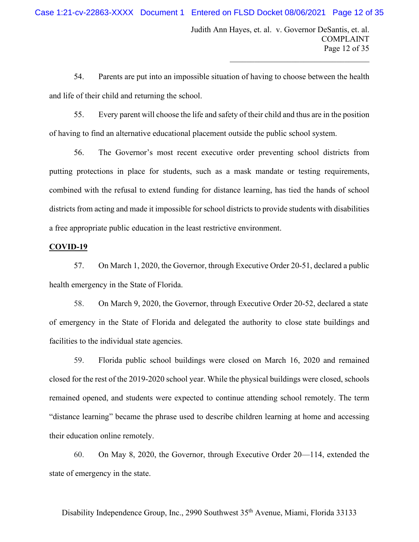Judith Ann Hayes, et. al. v. Governor DeSantis, et. al. COMPLAINT Page 12 of 35

 $\mathcal{L}_\mathcal{L}$  , which is a set of the set of the set of the set of the set of the set of the set of the set of the set of the set of the set of the set of the set of the set of the set of the set of the set of the set of

54. Parents are put into an impossible situation of having to choose between the health and life of their child and returning the school.

55. Every parent will choose the life and safety of their child and thus are in the position of having to find an alternative educational placement outside the public school system.

56. The Governor's most recent executive order preventing school districts from putting protections in place for students, such as a mask mandate or testing requirements, combined with the refusal to extend funding for distance learning, has tied the hands of school districts from acting and made it impossible for school districts to provide students with disabilities a free appropriate public education in the least restrictive environment.

### **COVID-19**

57. On March 1, 2020, the Governor, through Executive Order 20-51, declared a public health emergency in the State of Florida.

58. On March 9, 2020, the Governor, through Executive Order 20-52, declared a state of emergency in the State of Florida and delegated the authority to close state buildings and facilities to the individual state agencies.

59. Florida public school buildings were closed on March 16, 2020 and remained closed for the rest of the 2019-2020 school year. While the physical buildings were closed, schools remained opened, and students were expected to continue attending school remotely. The term "distance learning" became the phrase used to describe children learning at home and accessing their education online remotely.

60. On May 8, 2020, the Governor, through Executive Order 20—114, extended the state of emergency in the state.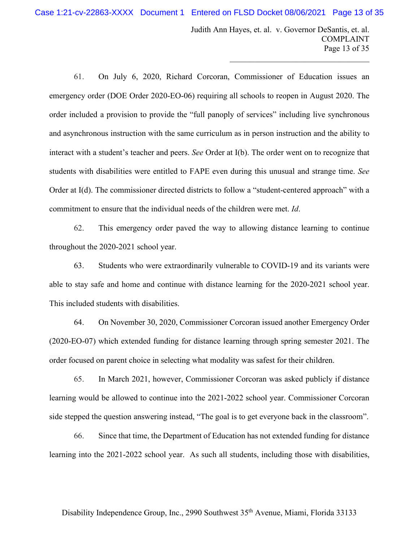Judith Ann Hayes, et. al. v. Governor DeSantis, et. al. COMPLAINT Page 13 of 35

 $\mathcal{L}_\mathcal{L}$  , which is a set of the set of the set of the set of the set of the set of the set of the set of the set of the set of the set of the set of the set of the set of the set of the set of the set of the set of

61. On July 6, 2020, Richard Corcoran, Commissioner of Education issues an emergency order (DOE Order 2020-EO-06) requiring all schools to reopen in August 2020. The order included a provision to provide the "full panoply of services" including live synchronous and asynchronous instruction with the same curriculum as in person instruction and the ability to interact with a student's teacher and peers. *See* Order at I(b). The order went on to recognize that students with disabilities were entitled to FAPE even during this unusual and strange time. *See* Order at I(d). The commissioner directed districts to follow a "student-centered approach" with a commitment to ensure that the individual needs of the children were met. *Id*.

62. This emergency order paved the way to allowing distance learning to continue throughout the 2020-2021 school year.

63. Students who were extraordinarily vulnerable to COVID-19 and its variants were able to stay safe and home and continue with distance learning for the 2020-2021 school year. This included students with disabilities.

64. On November 30, 2020, Commissioner Corcoran issued another Emergency Order (2020-EO-07) which extended funding for distance learning through spring semester 2021. The order focused on parent choice in selecting what modality was safest for their children.

65. In March 2021, however, Commissioner Corcoran was asked publicly if distance learning would be allowed to continue into the 2021-2022 school year. Commissioner Corcoran side stepped the question answering instead, "The goal is to get everyone back in the classroom".

66. Since that time, the Department of Education has not extended funding for distance learning into the 2021-2022 school year. As such all students, including those with disabilities,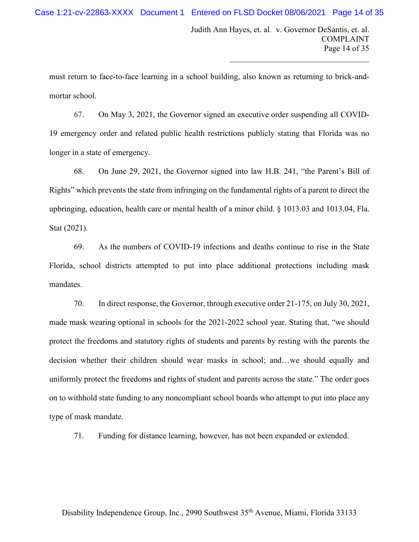$\mathcal{L}_\mathcal{L}$  , which is a set of the set of the set of the set of the set of the set of the set of the set of the set of the set of the set of the set of the set of the set of the set of the set of the set of the set of

must return to face-to-face learning in a school building, also known as returning to brick-andmortar school.

67. On May 3, 2021, the Governor signed an executive order suspending all COVID-19 emergency order and related public health restrictions publicly stating that Florida was no longer in a state of emergency.

68. On June 29, 2021, the Governor signed into law H.B. 241, "the Parent's Bill of Rights" which prevents the state from infringing on the fundamental rights of a parent to direct the upbringing, education, health care or mental health of a minor child. § 1013.03 and 1013.04, Fla. Stat (2021).

69. As the numbers of COVID-19 infections and deaths continue to rise in the State Florida, school districts attempted to put into place additional protections including mask mandates.

70. In direct response, the Governor, through executive order 21-175, on July 30, 2021, made mask wearing optional in schools for the 2021-2022 school year. Stating that, "we should protect the freedoms and statutory rights of students and parents by resting with the parents the decision whether their children should wear masks in school; and…we should equally and uniformly protect the freedoms and rights of student and parents across the state." The order goes on to withhold state funding to any noncompliant school boards who attempt to put into place any type of mask mandate.

71. Funding for distance learning, however, has not been expanded or extended.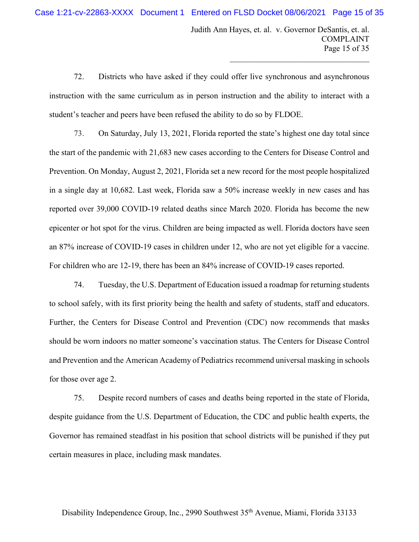Judith Ann Hayes, et. al. v. Governor DeSantis, et. al. COMPLAINT Page 15 of 35

 $\mathcal{L}_\mathcal{L}$  , which is a set of the set of the set of the set of the set of the set of the set of the set of the set of the set of the set of the set of the set of the set of the set of the set of the set of the set of

72. Districts who have asked if they could offer live synchronous and asynchronous instruction with the same curriculum as in person instruction and the ability to interact with a student's teacher and peers have been refused the ability to do so by FLDOE.

73. On Saturday, July 13, 2021, Florida reported the state's highest one day total since the start of the pandemic with 21,683 new cases according to the Centers for Disease Control and Prevention. On Monday, August 2, 2021, Florida set a new record for the most people hospitalized in a single day at 10,682. Last week, Florida saw a 50% increase weekly in new cases and has reported over 39,000 COVID-19 related deaths since March 2020. Florida has become the new epicenter or hot spot for the virus. Children are being impacted as well. Florida doctors have seen an 87% increase of COVID-19 cases in children under 12, who are not yet eligible for a vaccine. For children who are 12-19, there has been an 84% increase of COVID-19 cases reported.

74. Tuesday, the U.S. Department of Education issued a roadmap for returning students to school safely, with its first priority being the health and safety of students, staff and educators. Further, the [Centers for Disease Control and Prevention](https://www.cdc.gov/coronavirus/2019-ncov/community/schools-childcare/k-12-guidance.html) (CDC) now recommends that masks should be worn indoors no matter someone's vaccination status. The [Centers for Disease Control](https://www.cdc.gov/coronavirus/2019-ncov/community/schools-childcare/k-12-guidance.html)  [and Prevention](https://www.cdc.gov/coronavirus/2019-ncov/community/schools-childcare/k-12-guidance.html) and the [American Academy of Pediatrics](https://services.aap.org/en/pages/2019-novel-coronavirus-covid-19-infections/clinical-guidance/covid-19-planning-considerations-return-to-in-person-education-in-schools/) recommend universal masking in schools for those over age 2.

75. Despite record numbers of cases and deaths being reported in the state of Florida, despite guidance from the U.S. Department of Education, the CDC and public health experts, the Governor has remained steadfast in his position that school districts will be punished if they put certain measures in place, including mask mandates.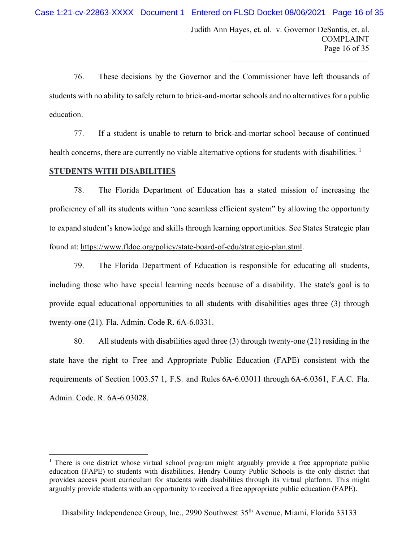Judith Ann Hayes, et. al. v. Governor DeSantis, et. al. COMPLAINT Page 16 of 35

 $\mathcal{L}_\mathcal{L}$  , which is a set of the set of the set of the set of the set of the set of the set of the set of the set of the set of the set of the set of the set of the set of the set of the set of the set of the set of

76. These decisions by the Governor and the Commissioner have left thousands of students with no ability to safely return to brick-and-mortar schools and no alternatives for a public education.

77. If a student is unable to return to brick-and-mortar school because of continued health concerns, there are currently no viable alternative options for students with disabilities.  $<sup>1</sup>$  $<sup>1</sup>$  $<sup>1</sup>$ </sup>

# **STUDENTS WITH DISABILITIES**

78. The Florida Department of Education has a stated mission of increasing the proficiency of all its students within "one seamless efficient system" by allowing the opportunity to expand student's knowledge and skills through learning opportunities. See States Strategic plan found at: [https://www.fldoe.org/policy/state-board-of-edu/strategic-plan.stml.](https://www.fldoe.org/policy/state-board-of-edu/strategic-plan.stml)

79. The Florida Department of Education is responsible for educating all students, including those who have special learning needs because of a disability. The state's goal is to provide equal educational opportunities to all students with disabilities ages three (3) through twenty-one (21). Fla. Admin. Code R. 6A-6.0331.

80. All students with disabilities aged three (3) through twenty-one (21) residing in the state have the right to Free and Appropriate Public Education (FAPE) consistent with the requirements of Section 1003.57 1, F.S. and Rules 6A-6.03011 through 6A-6.0361, F.A.C. Fla. Admin. Code. R. 6A-6.03028.

<span id="page-15-0"></span><sup>&</sup>lt;sup>1</sup> There is one district whose virtual school program might arguably provide a free appropriate public education (FAPE) to students with disabilities. Hendry County Public Schools is the only district that provides access point curriculum for students with disabilities through its virtual platform. This might arguably provide students with an opportunity to received a free appropriate public education (FAPE).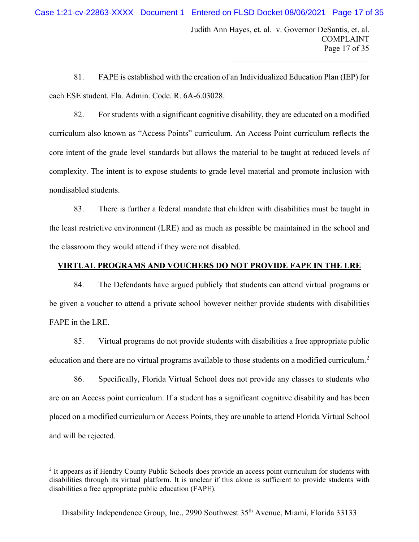Judith Ann Hayes, et. al. v. Governor DeSantis, et. al. COMPLAINT Page 17 of 35

 $\mathcal{L}_\mathcal{L}$  , which is a set of the set of the set of the set of the set of the set of the set of the set of the set of the set of the set of the set of the set of the set of the set of the set of the set of the set of

81. FAPE is established with the creation of an Individualized Education Plan (IEP) for each ESE student. Fla. Admin. Code. R. 6A-6.03028.

82. For students with a significant cognitive disability, they are educated on a modified curriculum also known as "Access Points" curriculum. An Access Point curriculum reflects the core intent of the grade level standards but allows the material to be taught at reduced levels of complexity. The intent is to expose students to grade level material and promote inclusion with nondisabled students.

83. There is further a federal mandate that children with disabilities must be taught in the least restrictive environment (LRE) and as much as possible be maintained in the school and the classroom they would attend if they were not disabled.

# **VIRTUAL PROGRAMS AND VOUCHERS DO NOT PROVIDE FAPE IN THE LRE**

84. The Defendants have argued publicly that students can attend virtual programs or be given a voucher to attend a private school however neither provide students with disabilities FAPE in the LRE.

85. Virtual programs do not provide students with disabilities a free appropriate public education and there are no virtual programs available to those students on a modified curriculum.<sup>[2](#page-16-0)</sup>

86. Specifically, Florida Virtual School does not provide any classes to students who are on an Access point curriculum. If a student has a significant cognitive disability and has been placed on a modified curriculum or Access Points, they are unable to attend Florida Virtual School and will be rejected.

<span id="page-16-0"></span><sup>&</sup>lt;sup>2</sup> It appears as if Hendry County Public Schools does provide an access point curriculum for students with disabilities through its virtual platform. It is unclear if this alone is sufficient to provide students with disabilities a free appropriate public education (FAPE).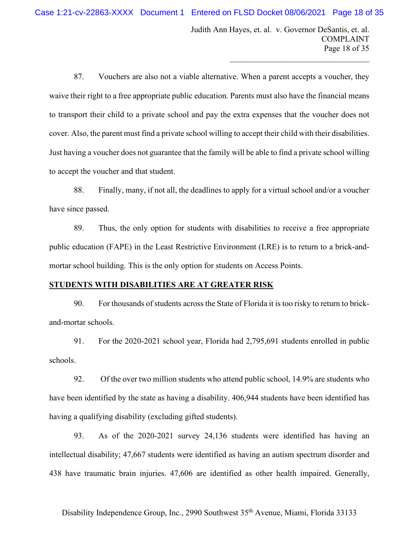Judith Ann Hayes, et. al. v. Governor DeSantis, et. al. COMPLAINT Page 18 of 35

 $\mathcal{L}_\mathcal{L}$  , which is a set of the set of the set of the set of the set of the set of the set of the set of the set of the set of the set of the set of the set of the set of the set of the set of the set of the set of

87. Vouchers are also not a viable alternative. When a parent accepts a voucher, they waive their right to a free appropriate public education. Parents must also have the financial means to transport their child to a private school and pay the extra expenses that the voucher does not cover. Also, the parent must find a private school willing to accept their child with their disabilities. Just having a voucher does not guarantee that the family will be able to find a private school willing to accept the voucher and that student.

88. Finally, many, if not all, the deadlines to apply for a virtual school and/or a voucher have since passed.

89. Thus, the only option for students with disabilities to receive a free appropriate public education (FAPE) in the Least Restrictive Environment (LRE) is to return to a brick-andmortar school building. This is the only option for students on Access Points.

### **STUDENTS WITH DISABILITIES ARE AT GREATER RISK**

90. For thousands of students across the State of Florida it is too risky to return to brickand-mortar schools.

91. For the 2020-2021 school year, Florida had 2,795,691 students enrolled in public schools.

92. Of the over two million students who attend public school, 14.9% are students who have been identified by the state as having a disability. 406,944 students have been identified has having a qualifying disability (excluding gifted students).

93. As of the 2020-2021 survey 24,136 students were identified has having an intellectual disability; 47,667 students were identified as having an autism spectrum disorder and 438 have traumatic brain injuries. 47,606 are identified as other health impaired. Generally,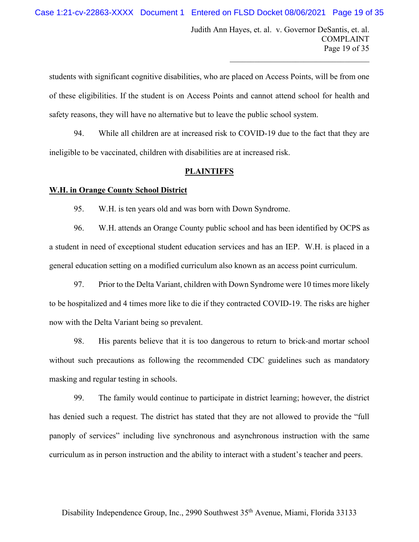Judith Ann Hayes, et. al. v. Governor DeSantis, et. al. COMPLAINT Page 19 of 35

 $\mathcal{L}_\mathcal{L}$  , which is a set of the set of the set of the set of the set of the set of the set of the set of the set of the set of the set of the set of the set of the set of the set of the set of the set of the set of

students with significant cognitive disabilities, who are placed on Access Points, will be from one of these eligibilities. If the student is on Access Points and cannot attend school for health and safety reasons, they will have no alternative but to leave the public school system.

94. While all children are at increased risk to COVID-19 due to the fact that they are ineligible to be vaccinated, children with disabilities are at increased risk.

#### **PLAINTIFFS**

#### **W.H. in Orange County School District**

95. W.H. is ten years old and was born with Down Syndrome.

96. W.H. attends an Orange County public school and has been identified by OCPS as a student in need of exceptional student education services and has an IEP. W.H. is placed in a general education setting on a modified curriculum also known as an access point curriculum.

97. Prior to the Delta Variant, children with Down Syndrome were 10 times more likely to be hospitalized and 4 times more like to die if they contracted COVID-19. The risks are higher now with the Delta Variant being so prevalent.

98. His parents believe that it is too dangerous to return to brick-and mortar school without such precautions as following the recommended CDC guidelines such as mandatory masking and regular testing in schools.

99. The family would continue to participate in district learning; however, the district has denied such a request. The district has stated that they are not allowed to provide the "full panoply of services" including live synchronous and asynchronous instruction with the same curriculum as in person instruction and the ability to interact with a student's teacher and peers.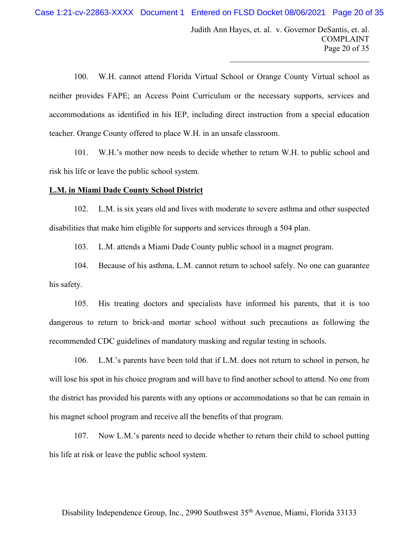Judith Ann Hayes, et. al. v. Governor DeSantis, et. al. COMPLAINT Page 20 of 35

 $\mathcal{L}_\mathcal{L}$  , which is a set of the set of the set of the set of the set of the set of the set of the set of the set of the set of the set of the set of the set of the set of the set of the set of the set of the set of

100. W.H. cannot attend Florida Virtual School or Orange County Virtual school as neither provides FAPE; an Access Point Curriculum or the necessary supports, services and accommodations as identified in his IEP, including direct instruction from a special education teacher. Orange County offered to place W.H. in an unsafe classroom.

101. W.H.'s mother now needs to decide whether to return W.H. to public school and risk his life or leave the public school system.

### **L.M. in Miami Dade County School District**

102. L.M. is six years old and lives with moderate to severe asthma and other suspected disabilities that make him eligible for supports and services through a 504 plan.

103. L.M. attends a Miami Dade County public school in a magnet program.

104. Because of his asthma, L.M. cannot return to school safely. No one can guarantee his safety.

105. His treating doctors and specialists have informed his parents, that it is too dangerous to return to brick-and mortar school without such precautions as following the recommended CDC guidelines of mandatory masking and regular testing in schools.

106. L.M.'s parents have been told that if L.M. does not return to school in person, he will lose his spot in his choice program and will have to find another school to attend. No one from the district has provided his parents with any options or accommodations so that he can remain in his magnet school program and receive all the benefits of that program.

107. Now L.M.'s parents need to decide whether to return their child to school putting his life at risk or leave the public school system.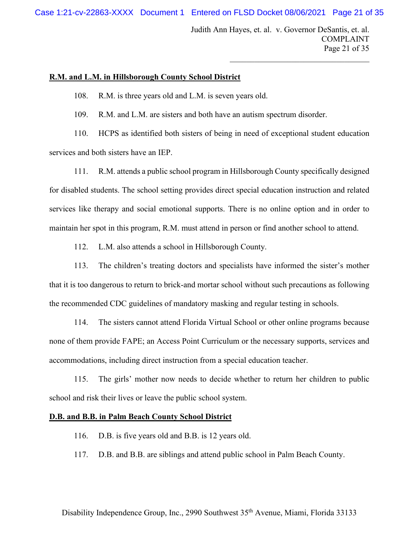Case 1:21-cv-22863-XXXX Document 1 Entered on FLSD Docket 08/06/2021 Page 21 of 35

Judith Ann Hayes, et. al. v. Governor DeSantis, et. al. COMPLAINT Page 21 of 35

 $\mathcal{L}_\mathcal{L}$  , which is a set of the set of the set of the set of the set of the set of the set of the set of the set of the set of the set of the set of the set of the set of the set of the set of the set of the set of

## **R.M. and L.M. in Hillsborough County School District**

108. R.M. is three years old and L.M. is seven years old.

109. R.M. and L.M. are sisters and both have an autism spectrum disorder.

110. HCPS as identified both sisters of being in need of exceptional student education services and both sisters have an IEP.

111. R.M. attends a public school program in Hillsborough County specifically designed for disabled students. The school setting provides direct special education instruction and related services like therapy and social emotional supports. There is no online option and in order to maintain her spot in this program, R.M. must attend in person or find another school to attend.

112. L.M. also attends a school in Hillsborough County.

113. The children's treating doctors and specialists have informed the sister's mother that it is too dangerous to return to brick-and mortar school without such precautions as following the recommended CDC guidelines of mandatory masking and regular testing in schools.

114. The sisters cannot attend Florida Virtual School or other online programs because none of them provide FAPE; an Access Point Curriculum or the necessary supports, services and accommodations, including direct instruction from a special education teacher.

115. The girls' mother now needs to decide whether to return her children to public school and risk their lives or leave the public school system.

# **D.B. and B.B. in Palm Beach County School District**

- 116. D.B. is five years old and B.B. is 12 years old.
- 117. D.B. and B.B. are siblings and attend public school in Palm Beach County.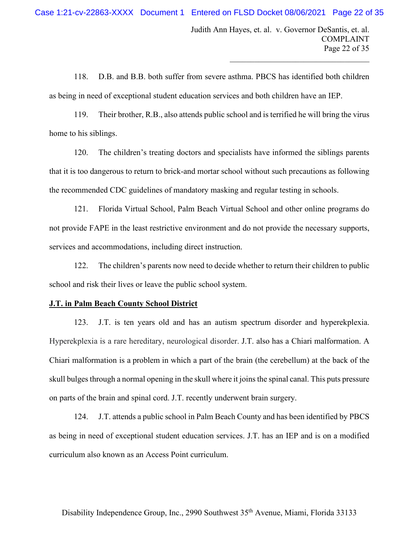$\mathcal{L}_\mathcal{L}$  , which is a set of the set of the set of the set of the set of the set of the set of the set of the set of the set of the set of the set of the set of the set of the set of the set of the set of the set of

118. D.B. and B.B. both suffer from severe asthma. PBCS has identified both children as being in need of exceptional student education services and both children have an IEP.

119. Their brother, R.B., also attends public school and is terrified he will bring the virus home to his siblings.

120. The children's treating doctors and specialists have informed the siblings parents that it is too dangerous to return to brick-and mortar school without such precautions as following the recommended CDC guidelines of mandatory masking and regular testing in schools.

121. Florida Virtual School, Palm Beach Virtual School and other online programs do not provide FAPE in the least restrictive environment and do not provide the necessary supports, services and accommodations, including direct instruction.

122. The children's parents now need to decide whether to return their children to public school and risk their lives or leave the public school system.

#### **J.T. in Palm Beach County School District**

123. J.T. is ten years old and has an autism spectrum disorder and hyperekplexia. Hyperekplexia is a rare hereditary, neurological disorder. J.T. also has a Chiari malformation. A Chiari malformation is a problem in which a part of the brain (the cerebellum) at the back of the skull bulges through a normal opening in the skull where it joins the spinal canal. This puts pressure on parts of the brain and spinal cord. J.T. recently underwent brain surgery.

124. J.T. attends a public school in Palm Beach County and has been identified by PBCS as being in need of exceptional student education services. J.T. has an IEP and is on a modified curriculum also known as an Access Point curriculum.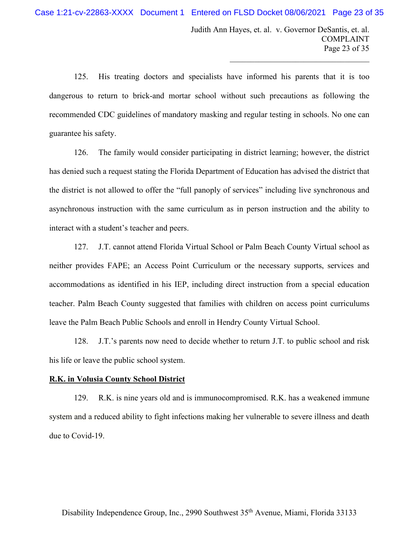Judith Ann Hayes, et. al. v. Governor DeSantis, et. al. COMPLAINT Page 23 of 35

 $\mathcal{L}_\mathcal{L}$  , which is a set of the set of the set of the set of the set of the set of the set of the set of the set of the set of the set of the set of the set of the set of the set of the set of the set of the set of

125. His treating doctors and specialists have informed his parents that it is too dangerous to return to brick-and mortar school without such precautions as following the recommended CDC guidelines of mandatory masking and regular testing in schools. No one can guarantee his safety.

126. The family would consider participating in district learning; however, the district has denied such a request stating the Florida Department of Education has advised the district that the district is not allowed to offer the "full panoply of services" including live synchronous and asynchronous instruction with the same curriculum as in person instruction and the ability to interact with a student's teacher and peers.

127. J.T. cannot attend Florida Virtual School or Palm Beach County Virtual school as neither provides FAPE; an Access Point Curriculum or the necessary supports, services and accommodations as identified in his IEP, including direct instruction from a special education teacher. Palm Beach County suggested that families with children on access point curriculums leave the Palm Beach Public Schools and enroll in Hendry County Virtual School.

128. J.T.'s parents now need to decide whether to return J.T. to public school and risk his life or leave the public school system.

#### **R.K. in Volusia County School District**

129. R.K. is nine years old and is immunocompromised. R.K. has a weakened immune system and a reduced ability to fight infections making her vulnerable to severe illness and death due to Covid-19.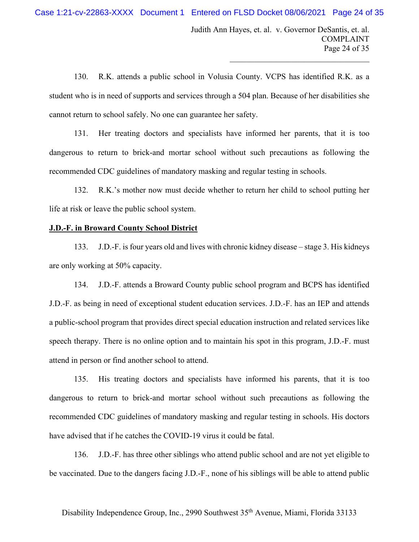Judith Ann Hayes, et. al. v. Governor DeSantis, et. al. COMPLAINT Page 24 of 35

 $\mathcal{L}_\mathcal{L}$  , which is a set of the set of the set of the set of the set of the set of the set of the set of the set of the set of the set of the set of the set of the set of the set of the set of the set of the set of

130. R.K. attends a public school in Volusia County. VCPS has identified R.K. as a student who is in need of supports and services through a 504 plan. Because of her disabilities she cannot return to school safely. No one can guarantee her safety.

131. Her treating doctors and specialists have informed her parents, that it is too dangerous to return to brick-and mortar school without such precautions as following the recommended CDC guidelines of mandatory masking and regular testing in schools.

132. R.K.'s mother now must decide whether to return her child to school putting her life at risk or leave the public school system.

#### **J.D.-F. in Broward County School District**

133. J.D.-F. is four years old and lives with chronic kidney disease – stage 3. His kidneys are only working at 50% capacity.

134. J.D.-F. attends a Broward County public school program and BCPS has identified J.D.-F. as being in need of exceptional student education services. J.D.-F. has an IEP and attends a public-school program that provides direct special education instruction and related services like speech therapy. There is no online option and to maintain his spot in this program, J.D.-F. must attend in person or find another school to attend.

135. His treating doctors and specialists have informed his parents, that it is too dangerous to return to brick-and mortar school without such precautions as following the recommended CDC guidelines of mandatory masking and regular testing in schools. His doctors have advised that if he catches the COVID-19 virus it could be fatal.

136. J.D.-F. has three other siblings who attend public school and are not yet eligible to be vaccinated. Due to the dangers facing J.D.-F., none of his siblings will be able to attend public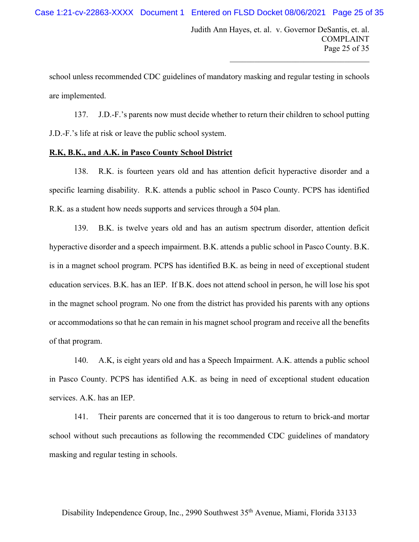school unless recommended CDC guidelines of mandatory masking and regular testing in schools are implemented.

137. J.D.-F.'s parents now must decide whether to return their children to school putting J.D.-F.'s life at risk or leave the public school system.

## **R.K, B.K., and A.K. in Pasco County School District**

138. R.K. is fourteen years old and has attention deficit hyperactive disorder and a specific learning disability. R.K. attends a public school in Pasco County. PCPS has identified R.K. as a student how needs supports and services through a 504 plan.

139. B.K. is twelve years old and has an autism spectrum disorder, attention deficit hyperactive disorder and a speech impairment. B.K. attends a public school in Pasco County. B.K. is in a magnet school program. PCPS has identified B.K. as being in need of exceptional student education services. B.K. has an IEP. If B.K. does not attend school in person, he will lose his spot in the magnet school program. No one from the district has provided his parents with any options or accommodations so that he can remain in his magnet school program and receive all the benefits of that program.

140. A.K, is eight years old and has a Speech Impairment. A.K. attends a public school in Pasco County. PCPS has identified A.K. as being in need of exceptional student education services. A.K. has an IEP.

141. Their parents are concerned that it is too dangerous to return to brick-and mortar school without such precautions as following the recommended CDC guidelines of mandatory masking and regular testing in schools.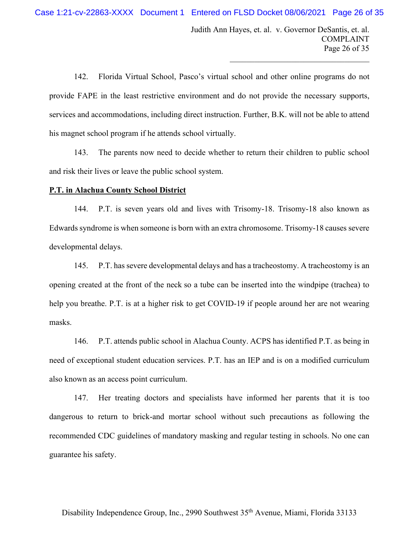Judith Ann Hayes, et. al. v. Governor DeSantis, et. al. COMPLAINT Page 26 of 35

 $\mathcal{L}_\mathcal{L}$  , which is a set of the set of the set of the set of the set of the set of the set of the set of the set of the set of the set of the set of the set of the set of the set of the set of the set of the set of

142. Florida Virtual School, Pasco's virtual school and other online programs do not provide FAPE in the least restrictive environment and do not provide the necessary supports, services and accommodations, including direct instruction. Further, B.K. will not be able to attend his magnet school program if he attends school virtually.

143. The parents now need to decide whether to return their children to public school and risk their lives or leave the public school system.

### **P.T. in Alachua County School District**

144. P.T. is seven years old and lives with Trisomy-18. Trisomy-18 also known as Edwards syndrome is when someone is born with an extra chromosome. Trisomy-18 causes severe developmental delays.

145. P.T. has severe developmental delays and has a tracheostomy. A tracheostomy is an opening created at the front of the neck so a tube can be inserted into the windpipe (trachea) to help you breathe. P.T. is at a higher risk to get COVID-19 if people around her are not wearing masks.

146. P.T. attends public school in Alachua County. ACPS has identified P.T. as being in need of exceptional student education services. P.T. has an IEP and is on a modified curriculum also known as an access point curriculum.

147. Her treating doctors and specialists have informed her parents that it is too dangerous to return to brick-and mortar school without such precautions as following the recommended CDC guidelines of mandatory masking and regular testing in schools. No one can guarantee his safety.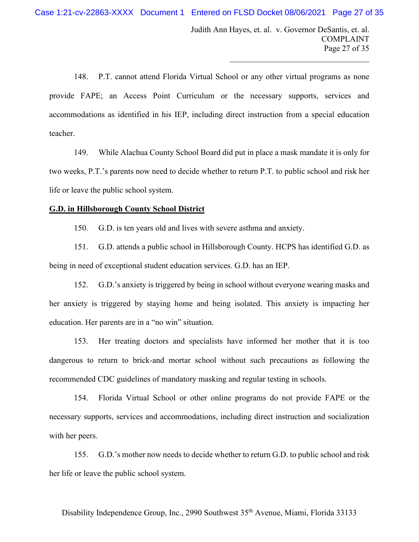Judith Ann Hayes, et. al. v. Governor DeSantis, et. al. COMPLAINT Page 27 of 35

 $\mathcal{L}_\mathcal{L}$  , which is a set of the set of the set of the set of the set of the set of the set of the set of the set of the set of the set of the set of the set of the set of the set of the set of the set of the set of

148. P.T. cannot attend Florida Virtual School or any other virtual programs as none provide FAPE; an Access Point Curriculum or the necessary supports, services and accommodations as identified in his IEP, including direct instruction from a special education teacher.

149. While Alachua County School Board did put in place a mask mandate it is only for two weeks, P.T.'s parents now need to decide whether to return P.T. to public school and risk her life or leave the public school system.

### **G.D. in Hillsborough County School District**

150. G.D. is ten years old and lives with severe asthma and anxiety.

151. G.D. attends a public school in Hillsborough County. HCPS has identified G.D. as being in need of exceptional student education services. G.D. has an IEP.

152. G.D.'s anxiety is triggered by being in school without everyone wearing masks and her anxiety is triggered by staying home and being isolated. This anxiety is impacting her education. Her parents are in a "no win" situation.

153. Her treating doctors and specialists have informed her mother that it is too dangerous to return to brick-and mortar school without such precautions as following the recommended CDC guidelines of mandatory masking and regular testing in schools.

154. Florida Virtual School or other online programs do not provide FAPE or the necessary supports, services and accommodations, including direct instruction and socialization with her peers.

155. G.D.'s mother now needs to decide whether to return G.D. to public school and risk her life or leave the public school system.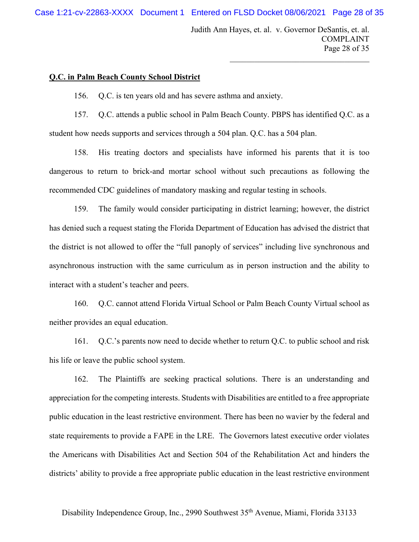Judith Ann Hayes, et. al. v. Governor DeSantis, et. al. COMPLAINT Page 28 of 35

 $\mathcal{L}_\mathcal{L}$  , which is a set of the set of the set of the set of the set of the set of the set of the set of the set of the set of the set of the set of the set of the set of the set of the set of the set of the set of

# **Q.C. in Palm Beach County School District**

156. Q.C. is ten years old and has severe asthma and anxiety.

157. Q.C. attends a public school in Palm Beach County. PBPS has identified Q.C. as a student how needs supports and services through a 504 plan. Q.C. has a 504 plan.

158. His treating doctors and specialists have informed his parents that it is too dangerous to return to brick-and mortar school without such precautions as following the recommended CDC guidelines of mandatory masking and regular testing in schools.

159. The family would consider participating in district learning; however, the district has denied such a request stating the Florida Department of Education has advised the district that the district is not allowed to offer the "full panoply of services" including live synchronous and asynchronous instruction with the same curriculum as in person instruction and the ability to interact with a student's teacher and peers.

160. Q.C. cannot attend Florida Virtual School or Palm Beach County Virtual school as neither provides an equal education.

161. Q.C.'s parents now need to decide whether to return Q.C. to public school and risk his life or leave the public school system.

162. The Plaintiffs are seeking practical solutions. There is an understanding and appreciation for the competing interests. Students with Disabilities are entitled to a free appropriate public education in the least restrictive environment. There has been no wavier by the federal and state requirements to provide a FAPE in the LRE. The Governors latest executive order violates the Americans with Disabilities Act and Section 504 of the Rehabilitation Act and hinders the districts' ability to provide a free appropriate public education in the least restrictive environment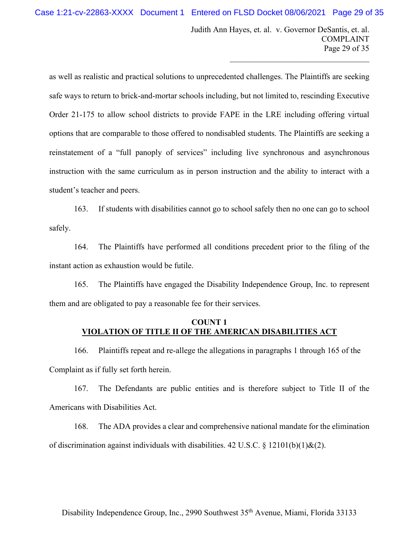Judith Ann Hayes, et. al. v. Governor DeSantis, et. al. COMPLAINT Page 29 of 35

 $\mathcal{L}_\mathcal{L}$  , which is a set of the set of the set of the set of the set of the set of the set of the set of the set of the set of the set of the set of the set of the set of the set of the set of the set of the set of

as well as realistic and practical solutions to unprecedented challenges. The Plaintiffs are seeking safe ways to return to brick-and-mortar schools including, but not limited to, rescinding Executive Order 21-175 to allow school districts to provide FAPE in the LRE including offering virtual options that are comparable to those offered to nondisabled students. The Plaintiffs are seeking a reinstatement of a "full panoply of services" including live synchronous and asynchronous instruction with the same curriculum as in person instruction and the ability to interact with a student's teacher and peers.

163. If students with disabilities cannot go to school safely then no one can go to school safely.

164. The Plaintiffs have performed all conditions precedent prior to the filing of the instant action as exhaustion would be futile.

165. The Plaintiffs have engaged the Disability Independence Group, Inc. to represent them and are obligated to pay a reasonable fee for their services.

# **COUNT 1 VIOLATION OF TITLE II OF THE AMERICAN DISABILITIES ACT**

166. Plaintiffs repeat and re-allege the allegations in paragraphs 1 through 165 of the Complaint as if fully set forth herein.

167. The Defendants are public entities and is therefore subject to Title II of the Americans with Disabilities Act.

168. The ADA provides a clear and comprehensive national mandate for the elimination of discrimination against individuals with disabilities. 42 U.S.C.  $\S$  12101(b)(1)&(2).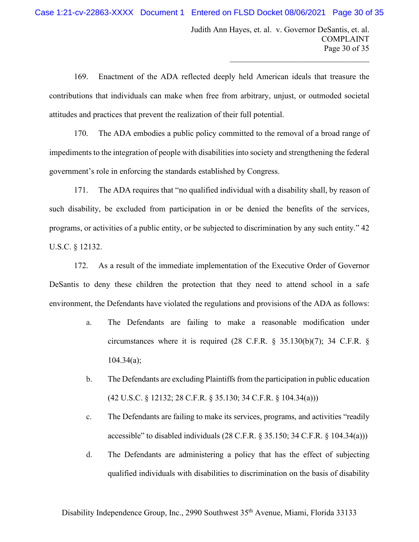$\mathcal{L}_\mathcal{L}$  , which is a set of the set of the set of the set of the set of the set of the set of the set of the set of the set of the set of the set of the set of the set of the set of the set of the set of the set of

169. Enactment of the ADA reflected deeply held American ideals that treasure the contributions that individuals can make when free from arbitrary, unjust, or outmoded societal attitudes and practices that prevent the realization of their full potential.

170. The ADA embodies a public policy committed to the removal of a broad range of impediments to the integration of people with disabilities into society and strengthening the federal government's role in enforcing the standards established by Congress.

171. The ADA requires that "no qualified individual with a disability shall, by reason of such disability, be excluded from participation in or be denied the benefits of the services, programs, or activities of a public entity, or be subjected to discrimination by any such entity." 42 U.S.C. § 12132.

172. As a result of the immediate implementation of the Executive Order of Governor DeSantis to deny these children the protection that they need to attend school in a safe environment, the Defendants have violated the regulations and provisions of the ADA as follows:

- a. The Defendants are failing to make a reasonable modification under circumstances where it is required (28 C.F.R.  $\S$  35.130(b)(7); 34 C.F.R.  $\S$  $104.34(a);$
- b. The Defendants are excluding Plaintiffs from the participation in public education (42 U.S.C. § 12132; 28 C.F.R. § 35.130; 34 C.F.R. § 104.34(a)))
- c. The Defendants are failing to make its services, programs, and activities "readily accessible" to disabled individuals (28 C.F.R. § 35.150; 34 C.F.R. § 104.34(a)))
- d. The Defendants are administering a policy that has the effect of subjecting qualified individuals with disabilities to discrimination on the basis of disability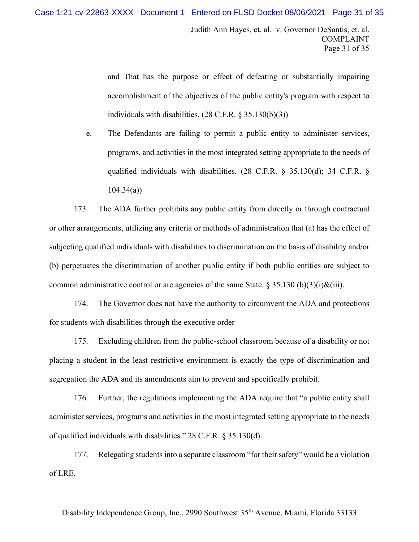Judith Ann Hayes, et. al. v. Governor DeSantis, et. al. COMPLAINT Page 31 of 35

 $\mathcal{L}_\mathcal{L}$  , which is a set of the set of the set of the set of the set of the set of the set of the set of the set of the set of the set of the set of the set of the set of the set of the set of the set of the set of

and That has the purpose or effect of defeating or substantially impairing accomplishment of the objectives of the public entity's program with respect to individuals with disabilities. (28 C.F.R. § 35.130(b)(3))

e. The Defendants are failing to permit a public entity to administer services, programs, and activities in the most integrated setting appropriate to the needs of qualified individuals with disabilities. (28 C.F.R. § 35.130(d); 34 C.F.R. § 104.34(a))

173. The ADA further prohibits any public entity from directly or through contractual or other arrangements, utilizing any criteria or methods of administration that (a) has the effect of subjecting qualified individuals with disabilities to discrimination on the basis of disability and/or (b) perpetuates the discrimination of another public entity if both public entities are subject to common administrative control or are agencies of the same State.  $\S 35.130 (b)(3)(i) \& (iii)$ .

174. The Governor does not have the authority to circumvent the ADA and protections for students with disabilities through the executive order

175. Excluding children from the public-school classroom because of a disability or not placing a student in the least restrictive environment is exactly the type of discrimination and segregation the ADA and its amendments aim to prevent and specifically prohibit.

176. Further, the regulations implementing the ADA require that "a public entity shall administer services, programs and activities in the most integrated setting appropriate to the needs of qualified individuals with disabilities." 28 C.F.R. § 35.130(d).

177. Relegating students into a separate classroom "for their safety" would be a violation of LRE.

Disability Independence Group, Inc., 2990 Southwest 35th Avenue, Miami, Florida 33133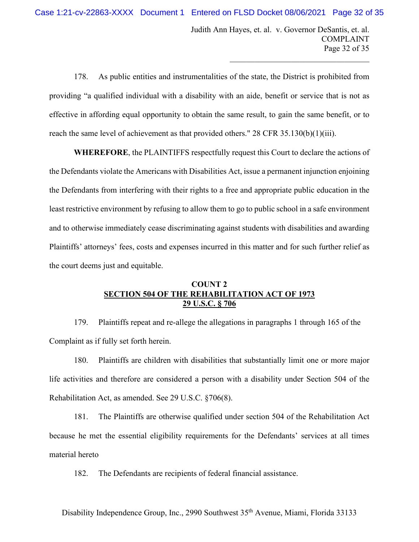Judith Ann Hayes, et. al. v. Governor DeSantis, et. al. COMPLAINT Page 32 of 35

 $\mathcal{L}_\mathcal{L}$  , which is a set of the set of the set of the set of the set of the set of the set of the set of the set of the set of the set of the set of the set of the set of the set of the set of the set of the set of

178. As public entities and instrumentalities of the state, the District is prohibited from providing "a qualified individual with a disability with an aide, benefit or service that is not as effective in affording equal opportunity to obtain the same result, to gain the same benefit, or to reach the same level of achievement as that provided others." 28 CFR 35.130(b)(1)(iii).

**WHEREFORE**, the PLAINTIFFS respectfully request this Court to declare the actions of the Defendants violate the Americans with Disabilities Act, issue a permanent injunction enjoining the Defendants from interfering with their rights to a free and appropriate public education in the least restrictive environment by refusing to allow them to go to public school in a safe environment and to otherwise immediately cease discriminating against students with disabilities and awarding Plaintiffs' attorneys' fees, costs and expenses incurred in this matter and for such further relief as the court deems just and equitable.

# **COUNT 2 SECTION 504 OF THE REHABILITATION ACT OF 1973 29 U.S.C. § 706**

179. Plaintiffs repeat and re-allege the allegations in paragraphs 1 through 165 of the Complaint as if fully set forth herein.

180. Plaintiffs are children with disabilities that substantially limit one or more major life activities and therefore are considered a person with a disability under Section 504 of the Rehabilitation Act, as amended. See 29 U.S.C. §706(8).

181. The Plaintiffs are otherwise qualified under section 504 of the Rehabilitation Act because he met the essential eligibility requirements for the Defendants' services at all times material hereto

182. The Defendants are recipients of federal financial assistance.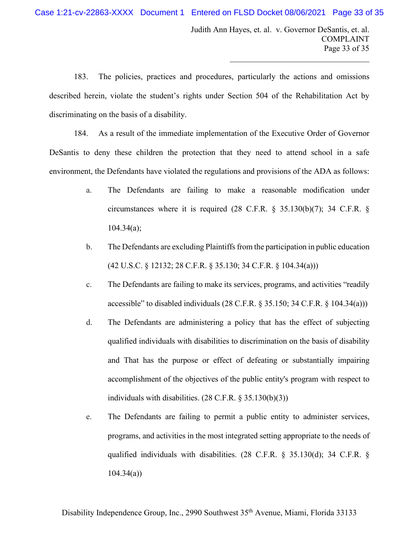Judith Ann Hayes, et. al. v. Governor DeSantis, et. al. COMPLAINT Page 33 of 35

 $\mathcal{L}_\mathcal{L}$  , which is a set of the set of the set of the set of the set of the set of the set of the set of the set of the set of the set of the set of the set of the set of the set of the set of the set of the set of

183. The policies, practices and procedures, particularly the actions and omissions described herein, violate the student's rights under Section 504 of the Rehabilitation Act by discriminating on the basis of a disability.

184. As a result of the immediate implementation of the Executive Order of Governor DeSantis to deny these children the protection that they need to attend school in a safe environment, the Defendants have violated the regulations and provisions of the ADA as follows:

- a. The Defendants are failing to make a reasonable modification under circumstances where it is required (28 C.F.R. § 35.130(b)(7); 34 C.F.R. §  $104.34(a);$
- b. The Defendants are excluding Plaintiffs from the participation in public education (42 U.S.C. § 12132; 28 C.F.R. § 35.130; 34 C.F.R. § 104.34(a)))
- c. The Defendants are failing to make its services, programs, and activities "readily accessible" to disabled individuals (28 C.F.R. § 35.150; 34 C.F.R. § 104.34(a)))
- d. The Defendants are administering a policy that has the effect of subjecting qualified individuals with disabilities to discrimination on the basis of disability and That has the purpose or effect of defeating or substantially impairing accomplishment of the objectives of the public entity's program with respect to individuals with disabilities. (28 C.F.R. § 35.130(b)(3))
- e. The Defendants are failing to permit a public entity to administer services, programs, and activities in the most integrated setting appropriate to the needs of qualified individuals with disabilities. (28 C.F.R. § 35.130(d); 34 C.F.R. § 104.34(a))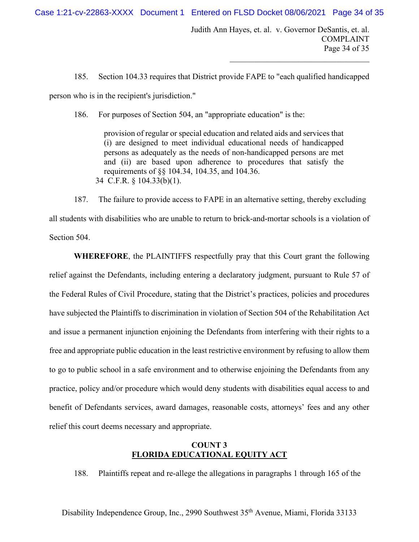Case 1:21-cv-22863-XXXX Document 1 Entered on FLSD Docket 08/06/2021 Page 34 of 35

Judith Ann Hayes, et. al. v. Governor DeSantis, et. al. COMPLAINT Page 34 of 35

 $\mathcal{L}_\mathcal{L}$  , which is a set of the set of the set of the set of the set of the set of the set of the set of the set of the set of the set of the set of the set of the set of the set of the set of the set of the set of

185. Section 104.33 requires that District provide FAPE to "each qualified handicapped

person who is in the recipient's jurisdiction."

186. For purposes of Section 504, an "appropriate education" is the:

provision of regular or special education and related aids and services that (i) are designed to meet individual educational needs of handicapped persons as adequately as the needs of non-handicapped persons are met and (ii) are based upon adherence to procedures that satisfy the requirements of §§ 104.34, 104.35, and 104.36. 34 C.F.R. § 104.33(b)(1).

187. The failure to provide access to FAPE in an alternative setting, thereby excluding all students with disabilities who are unable to return to brick-and-mortar schools is a violation of Section 504.

**WHEREFORE**, the PLAINTIFFS respectfully pray that this Court grant the following relief against the Defendants, including entering a declaratory judgment, pursuant to Rule 57 of the Federal Rules of Civil Procedure, stating that the District's practices, policies and procedures have subjected the Plaintiffs to discrimination in violation of Section 504 of the Rehabilitation Act and issue a permanent injunction enjoining the Defendants from interfering with their rights to a free and appropriate public education in the least restrictive environment by refusing to allow them to go to public school in a safe environment and to otherwise enjoining the Defendants from any practice, policy and/or procedure which would deny students with disabilities equal access to and benefit of Defendants services, award damages, reasonable costs, attorneys' fees and any other relief this court deems necessary and appropriate.

# **COUNT 3 FLORIDA EDUCATIONAL EQUITY ACT**

188. Plaintiffs repeat and re-allege the allegations in paragraphs 1 through 165 of the